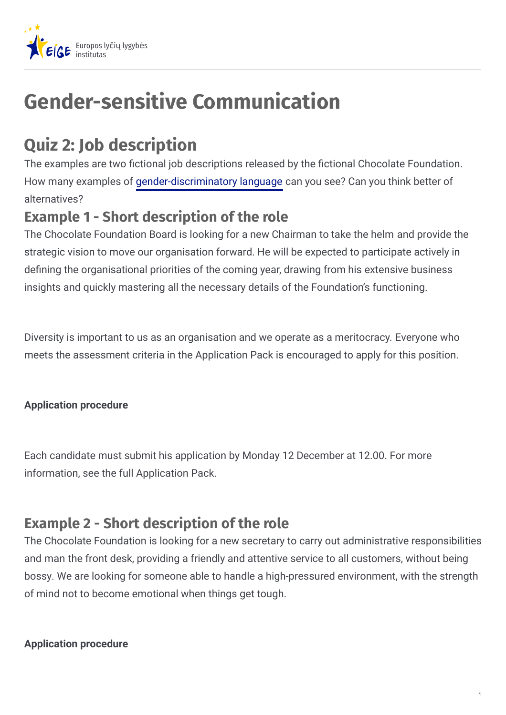

# **Gender-sensitive Communication**

## **Quiz 2: Job description**

The examples are two fictional job descriptions released by the fictional Chocolate Foundation. How many examples of gender-discriminatory language can you see? Can you think better of alternatives?

## **Example 1 - Short description of the role**

The Chocolate Foundation Board is looking for a new Chairman to take the helm and provide the strategic vision to move our organisation forward. He will be expected to participate actively in defining the organisational priorities of the coming year, drawing from his extensive business insights and quickly mastering all the necessary details of the Foundation's functioning.

Diversity is important to us as an organisation and we operate as a meritocracy. Everyone who meets the assessment criteria in the Application Pack is encouraged to apply for this position.

#### **Application procedure**

Each candidate must submit his application by Monday 12 December at 12.00. For more information, see the full Application Pack.

## **Example 2 - Short description of the role**

The Chocolate Foundation is looking for a new secretary to carry out administrative responsibilities and man the front desk, providing a friendly and attentive service to all customers, without being bossy. We are looking for someone able to handle a high-pressured environment, with the strength of mind not to become emotional when things get tough.

#### **Application procedure**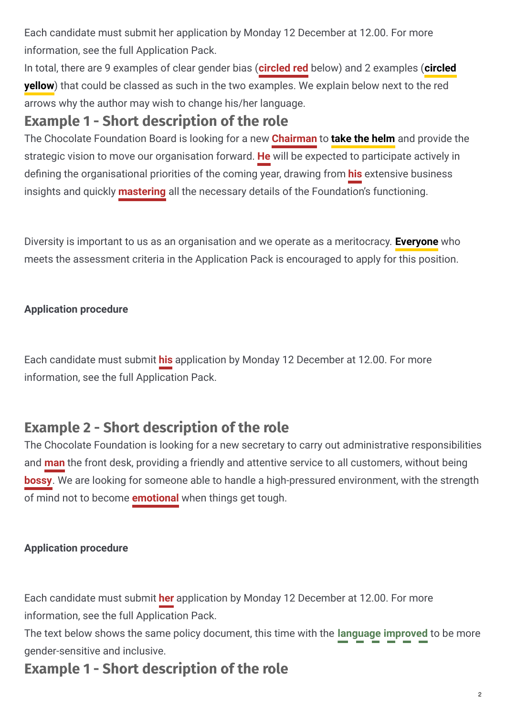Each candidate must submit her application by Monday 12 December at 12.00. For more information, see the full Application Pack.

In total, there are 9 examples of clear gender bias (**circled red** below) and 2 examples (**circled yellow**) that could be classed as such in the two examples. We explain below next to the red arrows why the author may wish to change his/her language.

## **Example 1 - Short description of the role**

The Chocolate Foundation Board is looking for a new **Chairman** to **take the helm** and provide the strategic vision to move our organisation forward. **He** will be expected to participate actively in defining the organisational priorities of the coming year, drawing from **his** extensive business insights and quickly **mastering** all the necessary details of the Foundation's functioning.

Diversity is important to us as an organisation and we operate as a meritocracy. **Everyone** who meets the assessment criteria in the Application Pack is encouraged to apply for this position.

#### **Application procedure**

Each candidate must submit **his** application by Monday 12 December at 12.00. For more information, see the full Application Pack.

## **Example 2 - Short description of the role**

The Chocolate Foundation is looking for a new secretary to carry out administrative responsibilities and **man** the front desk, providing a friendly and attentive service to all customers, without being **bossy**. We are looking for someone able to handle a high-pressured environment, with the strength of mind not to become **emotional** when things get tough.

#### **Application procedure**

Each candidate must submit **her** application by Monday 12 December at 12.00. For more information, see the full Application Pack.

The text below shows the same policy document, this time with the **language improved** to be more gender-sensitive and inclusive.

## **Example 1 - Short description of the role**